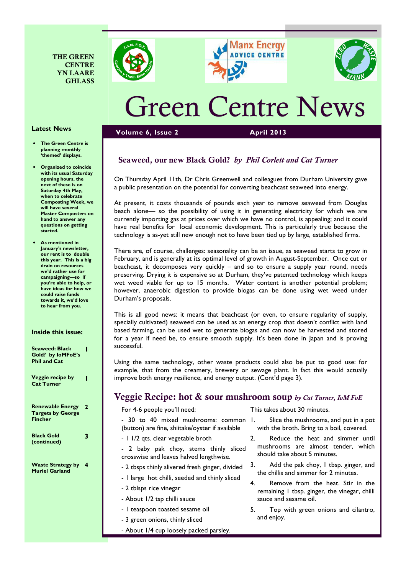







# Green Centre News

#### Volume 6, Issue 2 April 2013

## Seaweed, our new Black Gold? by Phil Corlett and Cat Turner

On Thursday April 11th, Dr Chris Greenwell and colleagues from Durham University gave a public presentation on the potential for converting beachcast seaweed into energy.

At present, it costs thousands of pounds each year to remove seaweed from Douglas beach alone— so the possibility of using it in generating electricity for which we are currently importing gas at prices over which we have no control, is appealing; and it could have real benefits for local economic development. This is particularly true because the technology is as-yet still new enough not to have been tied up by large, established firms.

There are, of course, challenges: seasonality can be an issue, as seaweed starts to grow in February, and is generally at its optimal level of growth in August-September. Once cut or beachcast, it decomposes very quickly – and so to ensure a supply year round, needs preserving. Drying it is expensive so at Durham, they've patented technology which keeps wet weed viable for up to 15 months. Water content is another potential problem; however, anaerobic digestion to provide biogas can be done using wet weed under Durham's proposals.

This is all good news: it means that beachcast (or even, to ensure regularity of supply, specially cultivated) seaweed can be used as an energy crop that doesn't conflict with land based farming, can be used wet to generate biogas and can now be harvested and stored for a year if need be, to ensure smooth supply. It's been done in Japan and is proving successful.

Using the same technology, other waste products could also be put to good use: for example, that from the creamery, brewery or sewage plant. In fact this would actually improve both energy resilience, and energy output. (Cont'd page 3).

## Veggie Recipe: hot & sour mushroom soup by Cat Turner, IoM FoE

Renewable Energy Targets by George Fincher 2 Black Gold (continued) Waste Strategy by Muriel Garland 4

For 4-6 people you'll need:

- 30 to 40 mixed mushrooms: common I.

- (button) are fine, shiitake/oyster if available
- 1 1/2 qts. clear vegetable broth
- 2 baby pak choy, stems thinly sliced crosswise and leaves halved lengthwise.
- 2 tbsps thinly slivered fresh ginger, divided
- 1 large hot chilli, seeded and thinly sliced
- 2 tblsps rice vinegar
- About 1/2 tsp chilli sauce
- 1 teaspoon toasted sesame oil
- 3 green onions, thinly sliced
- About 1/4 cup loosely packed parsley.

This takes about 30 minutes.

- Slice the mushrooms, and put in a pot with the broth. Bring to a boil, covered.
- 2. Reduce the heat and simmer until mushrooms are almost tender, which should take about 5 minutes.
- 3. Add the pak choy, 1 tbsp. ginger, and the chillis and simmer for 2 minutes.
- 4. Remove from the heat. Stir in the remaining 1 tbsp. ginger, the vinegar, chilli sauce and sesame oil.
- 5. Top with green onions and cilantro, and enjoy.

#### The Green Centre is planning monthly 'themed' displays.

Latest News

- Organized to coincide with its usual Saturday opening hours, the next of these is on Saturday 4th May, when to celebrate Composting Week, we will have several Master Composters on hand to answer any questions on getting started.
- As mentioned in January's newsletter, our rent is to double this year. This is a big drain on resources we'd rather use for campaigning—so if you're able to help, or have ideas for how we could raise funds towards it, we'd love to hear from you.

## Inside this issue:

| <b>Seaweed: Black</b><br>Gold? by IoMFoE's<br><b>Phil and Cat</b>     |   |
|-----------------------------------------------------------------------|---|
| Veggie recipe by<br><b>Cat Turner</b>                                 |   |
| <b>Renewable Energy</b><br><b>Targets by George</b><br><b>Fincher</b> | 2 |
| <b>Black Gold</b><br>(continued)                                      | 3 |
| <b>Waste Strategy by</b><br><b>Muriel Garland</b>                     | 4 |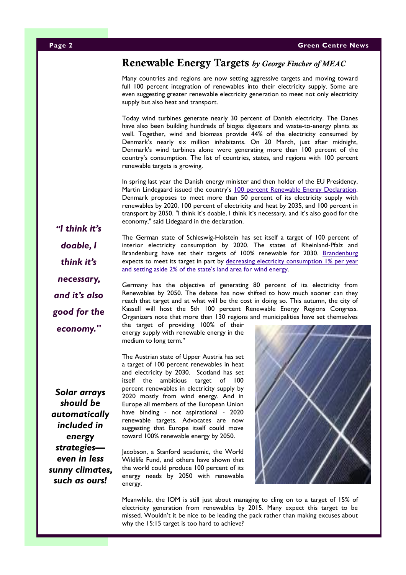# Renewable Energy Targets by George Fincher of MEAC

Many countries and regions are now setting aggressive targets and moving toward full 100 percent integration of renewables into their electricity supply. Some are even suggesting greater renewable electricity generation to meet not only electricity supply but also heat and transport.

Today wind turbines generate nearly 30 percent of Danish electricity. The Danes have also been building hundreds of biogas digesters and waste-to-energy plants as well. Together, wind and biomass provide 44% of the electricity consumed by Denmark's nearly six million inhabitants. On 20 March, just after midnight, Denmark's wind turbines alone were generating more than 100 percent of the country's consumption. The list of countries, states, and regions with 100 percent renewable targets is growing.

In spring last year the Danish energy minister and then holder of the EU Presidency, Martin Lindegaard issued the country's 100 percent Renewable Energy Declaration. Denmark proposes to meet more than 50 percent of its electricity supply with renewables by 2020, 100 percent of electricity and heat by 2035, and 100 percent in transport by 2050. "I think it's doable, I think it's necessary, and it's also good for the economy," said Lidegaard in the declaration.

"I think it's doable, I think it's necessary, and it's also good for the economy."

The German state of Schleswig-Holstein has set itself a target of 100 percent of interior electricity consumption by 2020. The states of Rheinland-Pfalz and Brandenburg have set their targets of 100% renewable for 2030. Brandenburg expects to meet its target in part by decreasing electricity consumption 1% per year and setting aside 2% of the state's land area for wind energy.

Germany has the objective of generating 80 percent of its electricity from Renewables by 2050. The debate has now shifted to how much sooner can they reach that target and at what will be the cost in doing so. This autumn, the city of Kassell will host the 5th 100 percent Renewable Energy Regions Congress. Organizers note that more than 130 regions and municipalities have set themselves

the target of providing 100% of their energy supply with renewable energy in the medium to long term."

The Austrian state of Upper Austria has set

a target of 100 percent renewables in heat and electricity by 2030. Scotland has set itself the ambitious target of 100 percent renewables in electricity supply by 2020 mostly from wind energy. And in Europe all members of the European Union have binding - not aspirational - 2020 renewable targets. Advocates are now suggesting that Europe itself could move toward 100% renewable energy by 2050.

Jacobson, a Stanford academic, the World Wildlife Fund, and others have shown that the world could produce 100 percent of its energy needs by 2050 with renewable energy.



Meanwhile, the IOM is still just about managing to cling on to a target of 15% of electricity generation from renewables by 2015. Many expect this target to be missed. Wouldn't it be nice to be leading the pack rather than making excuses about why the 15:15 target is too hard to achieve?

Solar arrays should be automatically included in energy strategies even in less sunny climates, such as ours!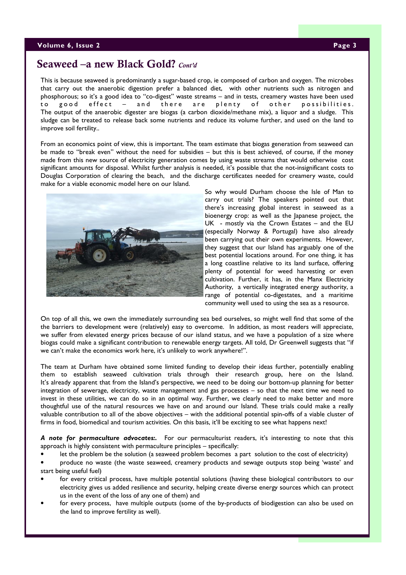# Seaweed –a new Black Gold? Cont'd

This is because seaweed is predominantly a sugar-based crop, ie composed of carbon and oxygen. The microbes that carry out the anaerobic digestion prefer a balanced diet, with other nutrients such as nitrogen and phosphorous; so it's a good idea to "co-digest" waste streams – and in tests, creamery wastes have been used to good effect – and there are plenty of other possibilities. The output of the anaerobic digester are biogas (a carbon dioxide/methane mix), a liquor and a sludge. This sludge can be treated to release back some nutrients and reduce its volume further, and used on the land to improve soil fertility..

From an economics point of view, this is important. The team estimate that biogas generation from seaweed can be made to "break even" without the need for subsidies – but this is best achieved, of course, if the money made from this new source of electricity generation comes by using waste streams that would otherwise cost significant amounts for disposal. Whilst further analysis is needed, it's possible that the not-insignificant costs to Douglas Corporation of clearing the beach, and the discharge certificates needed for creamery waste, could make for a viable economic model here on our Island.



So why would Durham choose the Isle of Man to carry out trials? The speakers pointed out that there's increasing global interest in seaweed as a bioenergy crop: as well as the Japanese project, the UK - mostly via the Crown Estates – and the EU (especially Norway & Portugal) have also already been carrying out their own experiments. However, they suggest that our Island has arguably one of the best potential locations around. For one thing, it has a long coastline relative to its land surface, offering plenty of potential for weed harvesting or even cultivation. Further, it has, in the Manx Electricity Authority, a vertically integrated energy authority, a range of potential co-digestates, and a maritime community well used to using the sea as a resource.

On top of all this, we own the immediately surrounding sea bed ourselves, so might well find that some of the the barriers to development were (relatively) easy to overcome. In addition, as most readers will appreciate, we suffer from elevated energy prices because of our island status, and we have a population of a size where biogas could make a significant contribution to renewable energy targets. All told, Dr Greenwell suggests that "if we can't make the economics work here, it's unlikely to work anywhere!".

The team at Durham have obtained some limited funding to develop their ideas further, potentially enabling them to establish seaweed cultivation trials through their research group, here on the Island. It's already apparent that from the Island's perspective, we need to be doing our bottom-up planning for better integration of sewerage, electricity, waste management and gas processes – so that the next time we need to invest in these utilities, we can do so in an optimal way. Further, we clearly need to make better and more thoughtful use of the natural resources we have on and around our Island. These trials could make a really valuable contribution to all of the above objectives – with the additional potential spin-offs of a viable cluster of firms in food, biomedical and tourism activities. On this basis, it'll be exciting to see what happens next!

A note for permaculture advocates:. For our permaculturist readers, it's interesting to note that this approach is highly consistent with permaculture principles – specifically:

• let the problem be the solution (a seaweed problem becomes a part solution to the cost of electricity)

• produce no waste (the waste seaweed, creamery products and sewage outputs stop being 'waste' and start being useful fuel)

- for every critical process, have multiple potential solutions (having these biological contributors to our electricity gives us added resilience and security, helping create diverse energy sources which can protect us in the event of the loss of any one of them) and
- for every process, have multiple outputs (some of the by-products of biodigestion can also be used on the land to improve fertility as well).